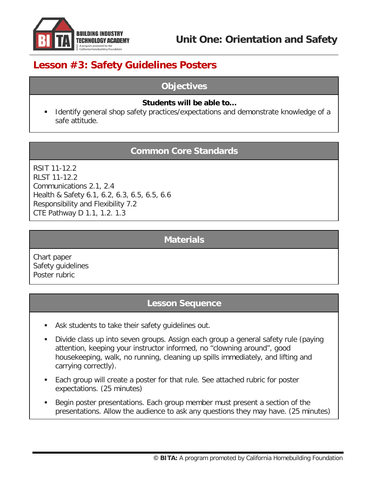

# **Lesson #3: Safety Guidelines Posters**

#### **Objectives**

#### **Students will be able to…**

 Identify general shop safety practices/expectations and demonstrate knowledge of a safe attitude.

## **Common Core Standards**

RSIT 11-12.2 RLST 11-12.2 Communications 2.1, 2.4 Health & Safety 6.1, 6.2, 6.3, 6.5, 6.5, 6.6 Responsibility and Flexibility 7.2 CTE Pathway D 1.1, 1.2. 1.3

## **Materials**

Chart paper Safety guidelines Poster rubric

## **Lesson Sequence**

- Ask students to take their safety guidelines out.
- Divide class up into seven groups. Assign each group a general safety rule (paying attention, keeping your instructor informed, no "clowning around", good housekeeping, walk, no running, cleaning up spills immediately, and lifting and carrying correctly).
- Each group will create a poster for that rule. See attached rubric for poster expectations. (25 minutes)
- Begin poster presentations. Each group member must present a section of the presentations. Allow the audience to ask any questions they may have. (25 minutes)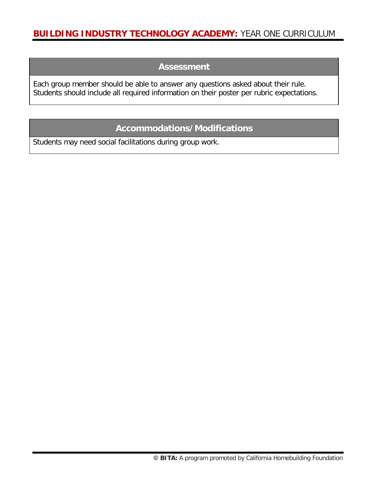#### **Assessment**

Each group member should be able to answer any questions asked about their rule. Students should include all required information on their poster per rubric expectations.

## **Accommodations/Modifications**

Students may need social facilitations during group work.